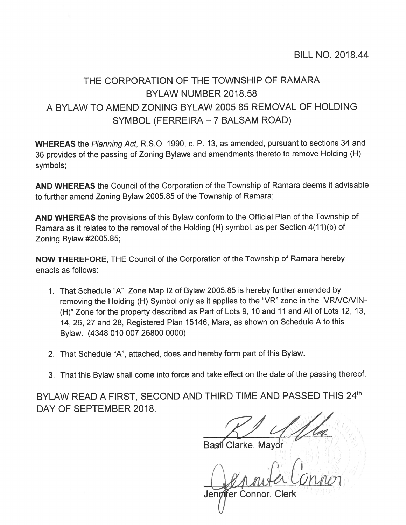## THE CORPORATION OF THE TOWNSHIP OF RAMARA BYLAW NUMBER 2018.58 A BYLAW TO AMEND ZONING BYLAW 2005.85 REMOVAL OF HOLDING SYMBOL (FERREIRA – 7 BALSAM ROAD)

WHEREAS the Planning Act, R.S.O. 1990, c. P. 13, as amended, pursuant to sections 34 and <sup>36</sup> provides of the passing of Zoning Bylaws and amendments thereto to remove Holding (H) symbols;

AND WHEREAS the Council of the Corporation of the Township of Ramara deems it advisable to further amend Zoning Bylaw 2005.85 of the Township of Ramara;

AND WHEREAS the provisions of this Bylaw conform to the Official Plan of the Township of Ramara as it relates to the removal of the Holding (H) symbol, as per Section 4(11)(b) of Zoning Bylaw #2005.85;

NOW THEREFORE, THE Council of the Corporation of the Township of Ramara hereby enacts as follows:

- 1. That Schedule "A", Zone Map I2 of Bylaw 2005.85 is hereby further amended by removing the Holding (H) Symbol only as it applies to the "VR" zone in the "VRNCNIN (H)" Zone for the property described as Part of Lots 9, 10 and 11 and All of Lots 12, 13, 14, 26, <sup>27</sup> and 28, Registered Plan 15146, Mara, as shown on Schedule <sup>A</sup> to this Bylaw. (4348 010 007 26800 0000)
- 2. That Schedule "A", attached, does and hereby form par<sup>t</sup> of this Bylaw.
- 3. That this Bylaw shall come into force and take effect on the date of the passing thereof.

BYLAW READ A FIRST, SECOND AND THIRD TIME AND PASSED THIS 24th DAY OF SEPTEMBER 2018.

Basil Clarke, Mayor

Straiter Connor Jennifer Connor, Clerk